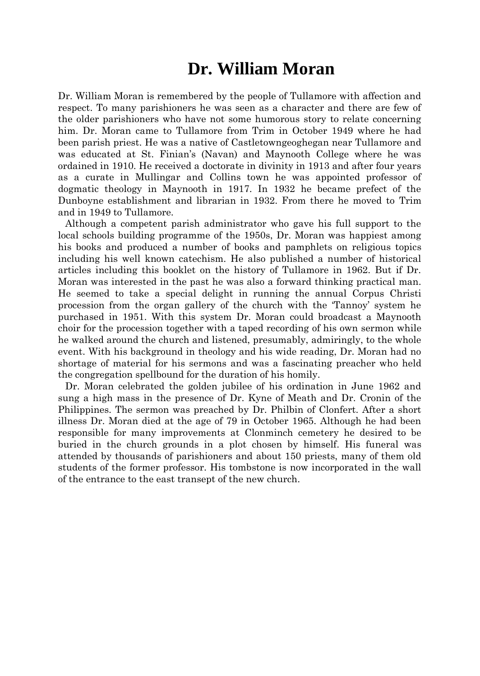# **Dr. William Moran**

Dr. William Moran is remembered by the people of Tullamore with affection and respect. To many parishioners he was seen as a character and there are few of the older parishioners who have not some humorous story to relate concerning him. Dr. Moran came to Tullamore from Trim in October 1949 where he had been parish priest. He was a native of Castletowngeoghegan near Tullamore and was educated at St. Finian's (Navan) and Maynooth College where he was ordained in 1910. He received a doctorate in divinity in 1913 and after four years as a curate in Mullingar and Collins town he was appointed professor of dogmatic theology in Maynooth in 1917. In 1932 he became prefect of the Dunboyne establishment and librarian in 1932. From there he moved to Trim and in 1949 to Tullamore.

Although a competent parish administrator who gave his full support to the local schools building programme of the 1950s, Dr. Moran was happiest among his books and produced a number of books and pamphlets on religious topics including his well known catechism. He also published a number of historical articles including this booklet on the history of Tullamore in 1962. But if Dr. Moran was interested in the past he was also a forward thinking practical man. He seemed to take a special delight in running the annual Corpus Christi procession from the organ gallery of the church with the 'Tannoy' system he purchased in 1951. With this system Dr. Moran could broadcast a Maynooth choir for the procession together with a taped recording of his own sermon while he walked around the church and listened, presumably, admiringly, to the whole event. With his background in theology and his wide reading, Dr. Moran had no shortage of material for his sermons and was a fascinating preacher who held the congregation spellbound for the duration of his homily.

Dr. Moran celebrated the golden jubilee of his ordination in June 1962 and sung a high mass in the presence of Dr. Kyne of Meath and Dr. Cronin of the Philippines. The sermon was preached by Dr. Philbin of Clonfert. After a short illness Dr. Moran died at the age of 79 in October 1965. Although he had been responsible for many improvements at Clonminch cemetery he desired to be buried in the church grounds in a plot chosen by himself. His funeral was attended by thousands of parishioners and about 150 priests, many of them old students of the former professor. His tombstone is now incorporated in the wall of the entrance to the east transept of the new church.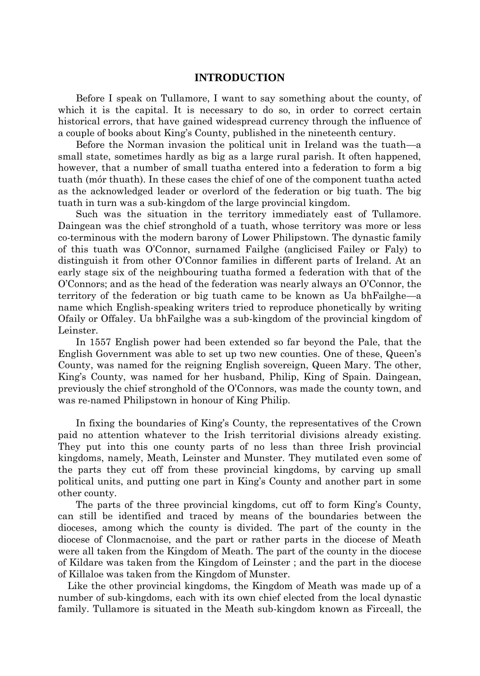## **INTRODUCTION**

Before I speak on Tullamore, I want to say something about the county, of which it is the capital. It is necessary to do so, in order to correct certain historical errors, that have gained widespread currency through the influence of a couple of books about King's County, published in the nineteenth century.

Before the Norman invasion the political unit in Ireland was the tuath—a small state, sometimes hardly as big as a large rural parish. It often happened, however, that a number of small tuatha entered into a federation to form a big tuath (mór thuath). In these cases the chief of one of the component tuatha acted as the acknowledged leader or overlord of the federation or big tuath. The big tuath in turn was a sub-kingdom of the large provincial kingdom.

Such was the situation in the territory immediately east of Tullamore. Daingean was the chief stronghold of a tuath, whose territory was more or less co-terminous with the modern barony of Lower Philipstown. The dynastic family of this tuath was O'Connor, surnamed Failghe (anglicised Failey or Faly) to distinguish it from other O'Connor families in different parts of Ireland. At an early stage six of the neighbouring tuatha formed a federation with that of the O'Connors; and as the head of the federation was nearly always an O'Connor, the territory of the federation or big tuath came to be known as Ua bhFailghe—a name which English-speaking writers tried to reproduce phonetically by writing Ofaily or Offaley. Ua bhFailghe was a sub-kingdom of the provincial kingdom of Leinster.

In 1557 English power had been extended so far beyond the Pale, that the English Government was able to set up two new counties. One of these, Queen's County, was named for the reigning English sovereign, Queen Mary. The other, King's County, was named for her husband, Philip, King of Spain. Daingean, previously the chief stronghold of the O'Connors, was made the county town, and was re-named Philipstown in honour of King Philip.

In fixing the boundaries of King's County, the representatives of the Crown paid no attention whatever to the Irish territorial divisions already existing. They put into this one county parts of no less than three Irish provincial kingdoms, namely, Meath, Leinster and Munster. They mutilated even some of the parts they cut off from these provincial kingdoms, by carving up small political units, and putting one part in King's County and another part in some other county.

The parts of the three provincial kingdoms, cut off to form King's County, can still be identified and traced by means of the boundaries between the dioceses, among which the county is divided. The part of the county in the diocese of Clonmacnoise, and the part or rather parts in the diocese of Meath were all taken from the Kingdom of Meath. The part of the county in the diocese of Kildare was taken from the Kingdom of Leinster ; and the part in the diocese of Killaloe was taken from the Kingdom of Munster.

Like the other provincial kingdoms, the Kingdom of Meath was made up of a number of sub-kingdoms, each with its own chief elected from the local dynastic family. Tullamore is situated in the Meath sub-kingdom known as Firceall, the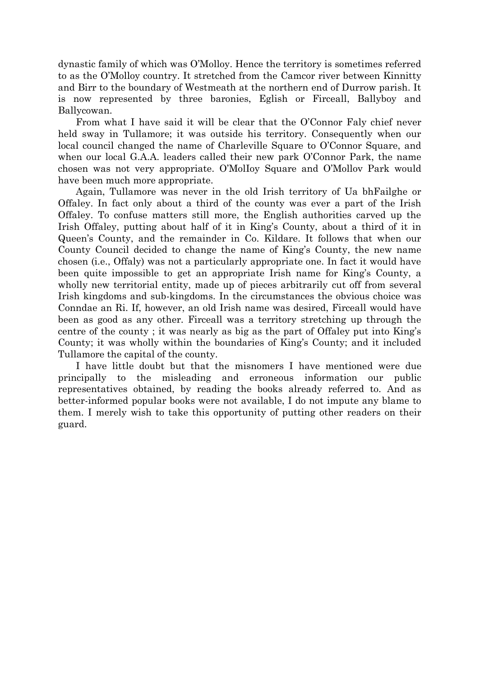dynastic family of which was O'Molloy. Hence the territory is sometimes referred to as the O'Molloy country. It stretched from the Camcor river between Kinnitty and Birr to the boundary of Westmeath at the northern end of Durrow parish. It is now represented by three baronies, Eglish or Firceall, Ballyboy and Ballycowan.

From what I have said it will be clear that the O'Connor Faly chief never held sway in Tullamore; it was outside his territory. Consequently when our local council changed the name of Charleville Square to O'Connor Square, and when our local G.A.A. leaders called their new park O'Connor Park, the name chosen was not very appropriate. O'MolIoy Square and O'Mollov Park would have been much more appropriate.

Again, Tullamore was never in the old Irish territory of Ua bhFailghe or Offaley. In fact only about a third of the county was ever a part of the Irish Offaley. To confuse matters still more, the English authorities carved up the Irish Offaley, putting about half of it in King's County, about a third of it in Queen's County, and the remainder in Co. Kildare. It follows that when our County Council decided to change the name of King's County, the new name chosen (i.e., Offaly) was not a particularly appropriate one. In fact it would have been quite impossible to get an appropriate Irish name for King's County, a wholly new territorial entity, made up of pieces arbitrarily cut off from several Irish kingdoms and sub-kingdoms. In the circumstances the obvious choice was Conndae an Ri. If, however, an old Irish name was desired, Firceall would have been as good as any other. Firceall was a territory stretching up through the centre of the county ; it was nearly as big as the part of Offaley put into King's County; it was wholly within the boundaries of King's County; and it included Tullamore the capital of the county.

I have little doubt but that the misnomers I have mentioned were due principally to the misleading and erroneous information our public representatives obtained, by reading the books already referred to. And as better-informed popular books were not available, I do not impute any blame to them. I merely wish to take this opportunity of putting other readers on their guard.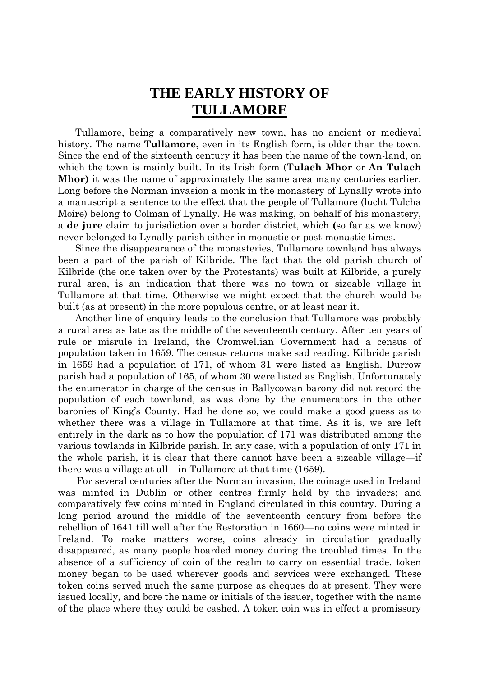## **THE EARLY HISTORY OF TULLAMORE**

Tullamore, being a comparatively new town, has no ancient or medieval history. The name **Tullamore,** even in its English form, is older than the town. Since the end of the sixteenth century it has been the name of the town-land, on which the town is mainly built. In its Irish form (**Tulach Mhor** or **An Tulach Mhor)** it was the name of approximately the same area many centuries earlier. Long before the Norman invasion a monk in the monastery of Lynally wrote into a manuscript a sentence to the effect that the people of Tullamore (lucht Tulcha Moire) belong to Colman of Lynally. He was making, on behalf of his monastery, a **de jure** claim to jurisdiction over a border district, which **(**so far as we know) never belonged to Lynally parish either in monastic or post-monastic times.

Since the disappearance of the monasteries, Tullamore townland has always been a part of the parish of Kilbride. The fact that the old parish church of Kilbride (the one taken over by the Protestants) was built at Kilbride, a purely rural area, is an indication that there was no town or sizeable village in Tullamore at that time. Otherwise we might expect that the church would be built (as at present) in the more populous centre, or at least near it.

Another line of enquiry leads to the conclusion that Tullamore was probably a rural area as late as the middle of the seventeenth century. After ten years of rule or misrule in Ireland, the Cromwellian Government had a census of population taken in 1659. The census returns make sad reading. Kilbride parish in 1659 had a population of 171, of whom 31 were listed as English. Durrow parish had a population of 165, of whom 30 were listed as English. Unfortunately the enumerator in charge of the census in Ballycowan barony did not record the population of each townland, as was done by the enumerators in the other baronies of King's County. Had he done so, we could make a good guess as to whether there was a village in Tullamore at that time. As it is, we are left entirely in the dark as to how the population of 171 was distributed among the various towlands in Kilbride parish. In any case, with a population of only 171 in the whole parish, it is clear that there cannot have been a sizeable village—if there was a village at all—in Tullamore at that time (1659).

For several centuries after the Norman invasion, the coinage used in Ireland was minted in Dublin or other centres firmly held by the invaders; and comparatively few coins minted in England circulated in this country. During a long period around the middle of the seventeenth century from before the rebellion of 1641 till well after the Restoration in 1660—no coins were minted in Ireland. To make matters worse, coins already in circulation gradually disappeared, as many people hoarded money during the troubled times. In the absence of a sufficiency of coin of the realm to carry on essential trade, token money began to be used wherever goods and services were exchanged. These token coins served much the same purpose as cheques do at present. They were issued locally, and bore the name or initials of the issuer, together with the name of the place where they could be cashed. A token coin was in effect a promissory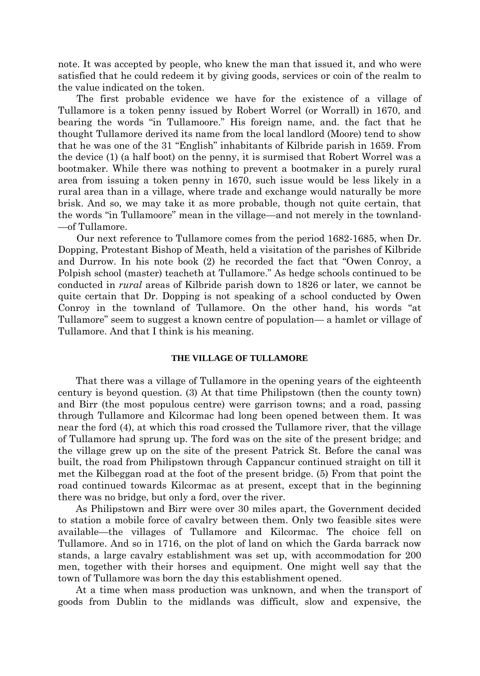note. It was accepted by people, who knew the man that issued it, and who were satisfied that he could redeem it by giving goods, services or coin of the realm to the value indicated on the token.

The first probable evidence we have for the existence of a village of Tullamore is a token penny issued by Robert Worrel (or Worrall) in 1670, and bearing the words "in Tullamoore." His foreign name, and. the fact that he thought Tullamore derived its name from the local landlord (Moore) tend to show that he was one of the 31 "English" inhabitants of Kilbride parish in 1659. From the device (1) (a half boot) on the penny, it is surmised that Robert Worrel was a bootmaker. While there was nothing to prevent a bootmaker in a purely rural area from issuing a token penny in 1670, such issue would be less likely in a rural area than in a village, where trade and exchange would naturally be more brisk. And so, we may take it as more probable, though not quite certain, that the words "in Tullamoore" mean in the village—and not merely in the townland- —of Tullamore.

Our next reference to Tullamore comes from the period 1682-1685, when Dr. Dopping, Protestant Bishop of Meath, held a visitation of the parishes of Kilbride and Durrow. In his note book (2) he recorded the fact that "Owen Conroy, a Polpish school (master) teacheth at Tullamore." As hedge schools continued to be conducted in *rural* areas of Kilbride parish down to 1826 or later, we cannot be quite certain that Dr. Dopping is not speaking of a school conducted by Owen Conroy in the townland of Tullamore. On the other hand, his words "at Tullamore" seem to suggest a known centre of population— a hamlet or village of Tullamore. And that I think is his meaning.

#### **THE VILLAGE OF TULLAMORE**

That there was a village of Tullamore in the opening years of the eighteenth century is beyond question. (3) At that time Philipstown (then the county town) and Birr (the most populous centre) were garrison towns; and a road, passing through Tullamore and Kilcormac had long been opened between them. It was near the ford (4), at which this road crossed the Tullamore river, that the village of Tullamore had sprung up. The ford was on the site of the present bridge; and the village grew up on the site of the present Patrick St. Before the canal was built, the road from Philipstown through Cappancur continued straight on till it met the Kilbeggan road at the foot of the present bridge. (5) From that point the road continued towards Kilcormac as at present, except that in the beginning there was no bridge, but only a ford, over the river.

As Philipstown and Birr were over 30 miles apart, the Government decided to station a mobile force of cavalry between them. Only two feasible sites were available—the villages of Tullamore and Kilcormac. The choice fell on Tullamore. And so in 1716, on the plot of land on which the Garda barrack now stands, a large cavalry establishment was set up, with accommodation for 200 men, together with their horses and equipment. One might well say that the town of Tullamore was born the day this establishment opened.

At a time when mass production was unknown, and when the transport of goods from Dublin to the midlands was difficult, slow and expensive, the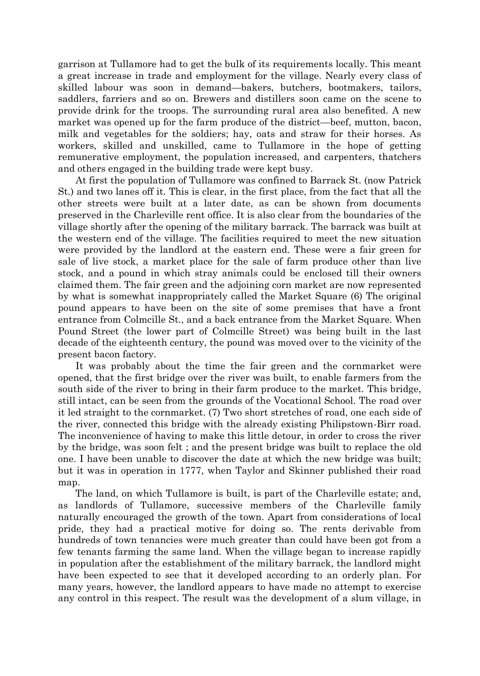garrison at Tullamore had to get the bulk of its requirements locally. This meant a great increase in trade and employment for the village. Nearly every class of skilled labour was soon in demand—bakers, butchers, bootmakers, tailors, saddlers, farriers and so on. Brewers and distillers soon came on the scene to provide drink for the troops. The surrounding rural area also benefited. A new market was opened up for the farm produce of the district—beef, mutton, bacon, milk and vegetables for the soldiers; hay, oats and straw for their horses. As workers, skilled and unskilled, came to Tullamore in the hope of getting remunerative employment, the population increased, and carpenters, thatchers and others engaged in the building trade were kept busy.

At first the population of Tullamore was confined to Barrack St. (now Patrick St.) and two lanes off it. This is clear, in the first place, from the fact that all the other streets were built at a later date, as can be shown from documents preserved in the Charleville rent office. It is also clear from the boundaries of the village shortly after the opening of the military barrack. The barrack was built at the western end of the village. The facilities required to meet the new situation were provided by the landlord at the eastern end. These were a fair green for sale of live stock, a market place for the sale of farm produce other than live stock, and a pound in which stray animals could be enclosed till their owners claimed them. The fair green and the adjoining corn market are now represented by what is somewhat inappropriately called the Market Square (6) The original pound appears to have been on the site of some premises that have a front entrance from Colmcille St., and a back entrance from the Market Square. When Pound Street (the lower part of Colmcille Street) was being built in the last decade of the eighteenth century, the pound was moved over to the vicinity of the present bacon factory.

It was probably about the time the fair green and the cornmarket were opened, that the first bridge over the river was built, to enable farmers from the south side of the river to bring in their farm produce to the market. This bridge, still intact, can be seen from the grounds of the Vocational School. The road over it led straight to the cornmarket. (7) Two short stretches of road, one each side of the river, connected this bridge with the already existing Philipstown-Birr road. The inconvenience of having to make this little detour, in order to cross the river by the bridge, was soon felt ; and the present bridge was built to replace the old one. I have been unable to discover the date at which the new bridge was built; but it was in operation in 1777, when Taylor and Skinner published their road map.

The land, on which Tullamore is built, is part of the Charleville estate; and, as landlords of Tullamore, successive members of the Charleville family naturally encouraged the growth of the town. Apart from considerations of local pride, they had a practical motive for doing so. The rents derivable from hundreds of town tenancies were much greater than could have been got from a few tenants farming the same land. When the village began to increase rapidly in population after the establishment of the military barrack, the landlord might have been expected to see that it developed according to an orderly plan. For many years, however, the landlord appears to have made no attempt to exercise any control in this respect. The result was the development of a slum village, in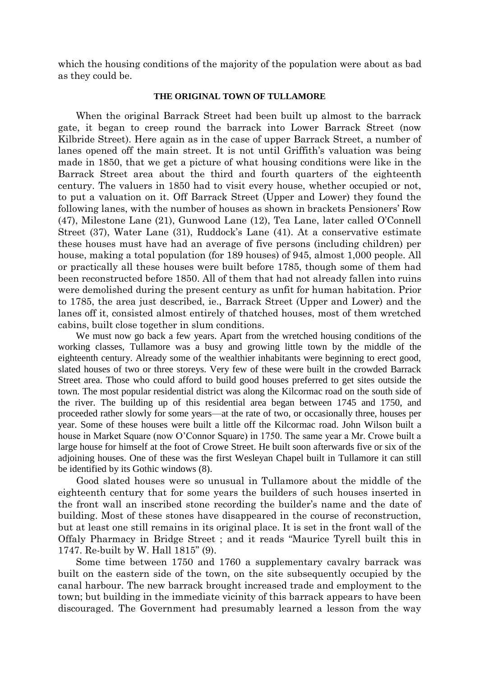which the housing conditions of the majority of the population were about as bad as they could be.

### **THE ORIGINAL TOWN OF TULLAMORE**

When the original Barrack Street had been built up almost to the barrack gate, it began to creep round the barrack into Lower Barrack Street (now Kilbride Street). Here again as in the case of upper Barrack Street, a number of lanes opened off the main street. It is not until Griffith's valuation was being made in 1850, that we get a picture of what housing conditions were like in the Barrack Street area about the third and fourth quarters of the eighteenth century. The valuers in 1850 had to visit every house, whether occupied or not, to put a valuation on it. Off Barrack Street (Upper and Lower) they found the following lanes, with the number of houses as shown in brackets Pensioners' Row (47), Milestone Lane (21), Gunwood Lane (12), Tea Lane, later called O'Connell Street (37), Water Lane (31), Ruddock's Lane (41). At a conservative estimate these houses must have had an average of five persons (including children) per house, making a total population (for 189 houses) of 945, almost 1,000 people. All or practically all these houses were built before 1785, though some of them had been reconstructed before 1850. All of them that had not already fallen into ruins were demolished during the present century as unfit for human habitation. Prior to 1785, the area just described, ie., Barrack Street (Upper and Lower) and the lanes off it, consisted almost entirely of thatched houses, most of them wretched cabins, built close together in slum conditions.

We must now go back a few years. Apart from the wretched housing conditions of the working classes, Tullamore was a busy and growing little town by the middle of the eighteenth century. Already some of the wealthier inhabitants were beginning to erect good, slated houses of two or three storeys. Very few of these were built in the crowded Barrack Street area. Those who could afford to build good houses preferred to get sites outside the town. The most popular residential district was along the Kilcormac road on the south side of the river. The building up of this residential area began between 1745 and 1750, and proceeded rather slowly for some years—at the rate of two, or occasionally three, houses per year. Some of these houses were built a little off the Kilcormac road. John Wilson built a house in Market Square (now O'Connor Square) in 1750. The same year a Mr. Crowe built a large house for himself at the foot of Crowe Street. He built soon afterwards five or six of the adjoining houses. One of these was the first Wesleyan Chapel built in Tullamore it can still be identified by its Gothic windows (8).

Good slated houses were so unusual in Tullamore about the middle of the eighteenth century that for some years the builders of such houses inserted in the front wall an inscribed stone recording the builder's name and the date of building. Most of these stones have disappeared in the course of reconstruction, but at least one still remains in its original place. It is set in the front wall of the Offaly Pharmacy in Bridge Street ; and it reads "Maurice Tyrell built this in 1747. Re-built by W. Hall 1815" (9).

Some time between 1750 and 1760 a supplementary cavalry barrack was built on the eastern side of the town, on the site subsequently occupied by the canal harbour. The new barrack brought increased trade and employment to the town; but building in the immediate vicinity of this barrack appears to have been discouraged. The Government had presumably learned a lesson from the way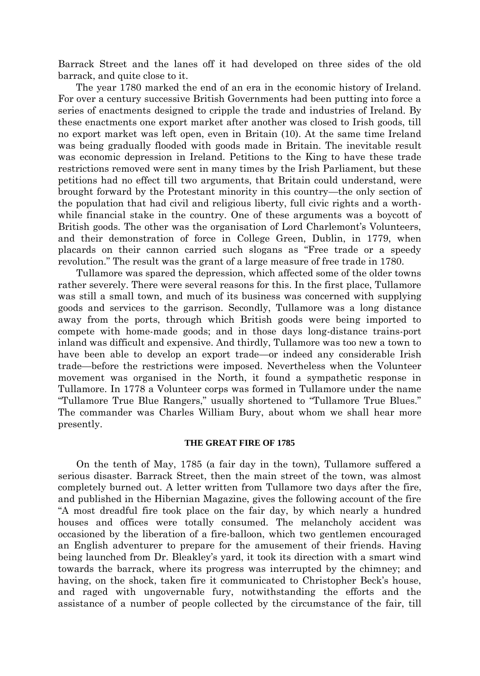Barrack Street and the lanes off it had developed on three sides of the old barrack, and quite close to it.

The year 1780 marked the end of an era in the economic history of Ireland. For over a century successive British Governments had been putting into force a series of enactments designed to cripple the trade and industries of Ireland. By these enactments one export market after another was closed to Irish goods, till no export market was left open, even in Britain (10). At the same time Ireland was being gradually flooded with goods made in Britain. The inevitable result was economic depression in Ireland. Petitions to the King to have these trade restrictions removed were sent in many times by the Irish Parliament, but these petitions had no effect till two arguments, that Britain could understand, were brought forward by the Protestant minority in this country—the only section of the population that had civil and religious liberty, full civic rights and a worthwhile financial stake in the country. One of these arguments was a boycott of British goods. The other was the organisation of Lord Charlemont's Volunteers, and their demonstration of force in College Green, Dublin, in 1779, when placards on their cannon carried such slogans as "Free trade or a speedy revolution." The result was the grant of a large measure of free trade in 1780.

Tullamore was spared the depression, which affected some of the older towns rather severely. There were several reasons for this. In the first place, Tullamore was still a small town, and much of its business was concerned with supplying goods and services to the garrison. Secondly, Tullamore was a long distance away from the ports, through which British goods were being imported to compete with home-made goods; and in those days long-distance trains-port inland was difficult and expensive. And thirdly, Tullamore was too new a town to have been able to develop an export trade—or indeed any considerable Irish trade—before the restrictions were imposed. Nevertheless when the Volunteer movement was organised in the North, it found a sympathetic response in Tullamore. In 1778 a Volunteer corps was formed in Tullamore under the name "Tullamore True Blue Rangers," usually shortened to "Tullamore True Blues." The commander was Charles William Bury, about whom we shall hear more presently.

#### **THE GREAT FIRE OF 1785**

On the tenth of May, 1785 (a fair day in the town), Tullamore suffered a serious disaster. Barrack Street, then the main street of the town, was almost completely burned out. A letter written from Tullamore two days after the fire, and published in the Hibernian Magazine, gives the following account of the fire "A most dreadful fire took place on the fair day, by which nearly a hundred houses and offices were totally consumed. The melancholy accident was occasioned by the liberation of a fire-balloon, which two gentlemen encouraged an English adventurer to prepare for the amusement of their friends. Having being launched from Dr. Bleakley's yard, it took its direction with a smart wind towards the barrack, where its progress was interrupted by the chimney; and having, on the shock, taken fire it communicated to Christopher Beck's house, and raged with ungovernable fury, notwithstanding the efforts and the assistance of a number of people collected by the circumstance of the fair, till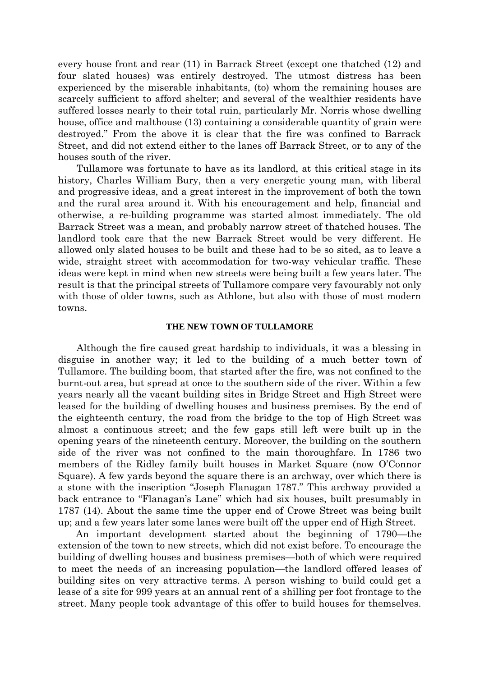every house front and rear (11) in Barrack Street (except one thatched (12) and four slated houses) was entirely destroyed. The utmost distress has been experienced by the miserable inhabitants, (to) whom the remaining houses are scarcely sufficient to afford shelter; and several of the wealthier residents have suffered losses nearly to their total ruin, particularly Mr. Norris whose dwelling house, office and malthouse (13) containing a considerable quantity of grain were destroyed." From the above it is clear that the fire was confined to Barrack Street, and did not extend either to the lanes off Barrack Street, or to any of the houses south of the river.

Tullamore was fortunate to have as its landlord, at this critical stage in its history, Charles William Bury, then a very energetic young man, with liberal and progressive ideas, and a great interest in the improvement of both the town and the rural area around it. With his encouragement and help, financial and otherwise, a re-building programme was started almost immediately. The old Barrack Street was a mean, and probably narrow street of thatched houses. The landlord took care that the new Barrack Street would be very different. He allowed only slated houses to be built and these had to be so sited, as to leave a wide, straight street with accommodation for two-way vehicular traffic. These ideas were kept in mind when new streets were being built a few years later. The result is that the principal streets of Tullamore compare very favourably not only with those of older towns, such as Athlone, but also with those of most modern towns.

#### **THE NEW TOWN OF TULLAMORE**

Although the fire caused great hardship to individuals, it was a blessing in disguise in another way; it led to the building of a much better town of Tullamore. The building boom, that started after the fire, was not confined to the burnt-out area, but spread at once to the southern side of the river. Within a few years nearly all the vacant building sites in Bridge Street and High Street were leased for the building of dwelling houses and business premises. By the end of the eighteenth century, the road from the bridge to the top of High Street was almost a continuous street; and the few gaps still left were built up in the opening years of the nineteenth century. Moreover, the building on the southern side of the river was not confined to the main thoroughfare. In 1786 two members of the Ridley family built houses in Market Square (now O'Connor Square). A few yards beyond the square there is an archway, over which there is a stone with the inscription "Joseph Flanagan 1787." This archway provided a back entrance to "Flanagan's Lane" which had six houses, built presumably in 1787 (14). About the same time the upper end of Crowe Street was being built up; and a few years later some lanes were built off the upper end of High Street.

An important development started about the beginning of 1790—the extension of the town to new streets, which did not exist before. To encourage the building of dwelling houses and business premises—both of which were required to meet the needs of an increasing population—the landlord offered leases of building sites on very attractive terms. A person wishing to build could get a lease of a site for 999 years at an annual rent of a shilling per foot frontage to the street. Many people took advantage of this offer to build houses for themselves.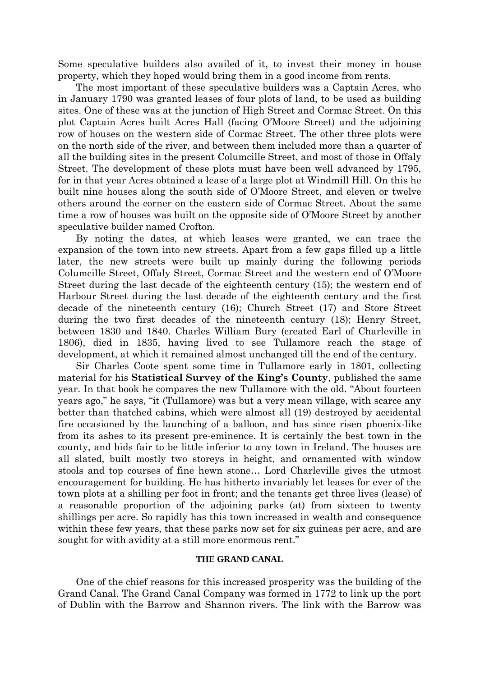Some speculative builders also availed of it, to invest their money in house property, which they hoped would bring them in a good income from rents.

The most important of these speculative builders was a Captain Acres, who in January 1790 was granted leases of four plots of land, to be used as building sites. One of these was at the junction of High Street and Cormac Street. On this plot Captain Acres built Acres Hall (facing O'Moore Street) and the adjoining row of houses on the western side of Cormac Street. The other three plots were on the north side of the river, and between them included more than a quarter of all the building sites in the present Columcille Street, and most of those in Offaly Street. The development of these plots must have been well advanced by 1795, for in that year Acres obtained a lease of a large plot at Windmill Hill. On this he built nine houses along the south side of O'Moore Street, and eleven or twelve others around the corner on the eastern side of Cormac Street. About the same time a row of houses was built on the opposite side of O'Moore Street by another speculative builder named Crofton.

By noting the dates, at which leases were granted, we can trace the expansion of the town into new streets. Apart from a few gaps filled up a little later, the new streets were built up mainly during the following periods Columcille Street, Offaly Street, Cormac Street and the western end of O'Moore Street during the last decade of the eighteenth century (15); the western end of Harbour Street during the last decade of the eighteenth century and the first decade of the nineteenth century (16); Church Street (17) and Store Street during the two first decades of the nineteenth century (18); Henry Street, between 1830 and 1840. Charles William Bury (created Earl of Charleville in 1806), died in 1835, having lived to see Tullamore reach the stage of development, at which it remained almost unchanged till the end of the century.

Sir Charles Coote spent some time in Tullamore early in 1801, collecting material for his **Statistical Survey of the King's County**, published the same year. In that book he compares the new Tullamore with the old. "About fourteen years ago," he says, "it (Tullamore) was but a very mean village, with scarce any better than thatched cabins, which were almost all (19) destroyed by accidental fire occasioned by the launching of a balloon, and has since risen phoenix-like from its ashes to its present pre-eminence. It is certainly the best town in the county, and bids fair to be little inferior to any town in Ireland. The houses are all slated, built mostly two storeys in height, and ornamented with window stools and top courses of fine hewn stone… Lord Charleville gives the utmost encouragement for building. He has hitherto invariably let leases for ever of the town plots at a shilling per foot in front; and the tenants get three lives (lease) of a reasonable proportion of the adjoining parks (at) from sixteen to twenty shillings per acre. So rapidly has this town increased in wealth and consequence within these few years, that these parks now set for six guineas per acre, and are sought for with avidity at a still more enormous rent."

### **THE GRAND CANAL**

One of the chief reasons for this increased prosperity was the building of the Grand Canal. The Grand Canal Company was formed in 1772 to link up the port of Dublin with the Barrow and Shannon rivers. The link with the Barrow was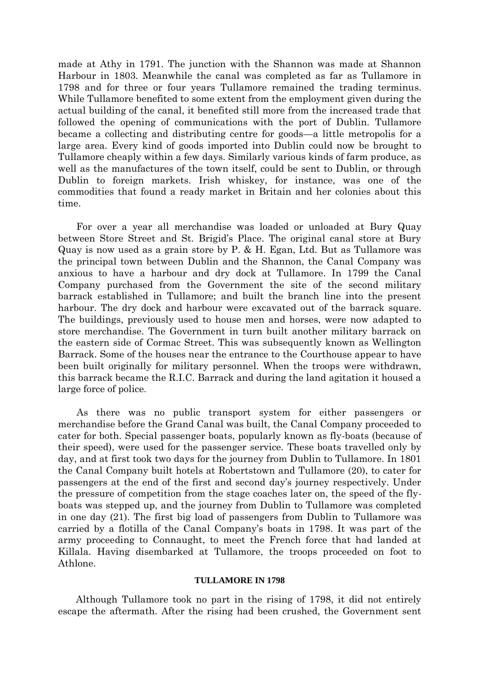made at Athy in 1791. The junction with the Shannon was made at Shannon Harbour in 1803. Meanwhile the canal was completed as far as Tullamore in 1798 and for three or four years Tullamore remained the trading terminus. While Tullamore benefited to some extent from the employment given during the actual building of the canal, it benefited still more from the increased trade that followed the opening of communications with the port of Dublin. Tullamore became a collecting and distributing centre for goods—a little metropolis for a large area. Every kind of goods imported into Dublin could now be brought to Tullamore cheaply within a few days. Similarly various kinds of farm produce, as well as the manufactures of the town itself, could be sent to Dublin, or through Dublin to foreign markets. Irish whiskey, for instance, was one of the commodities that found a ready market in Britain and her colonies about this time.

For over a year all merchandise was loaded or unloaded at Bury Quay between Store Street and St. Brigid's Place. The original canal store at Bury Quay is now used as a grain store by P. & H. Egan, Ltd. But as Tullamore was the principal town between Dublin and the Shannon, the Canal Company was anxious to have a harbour and dry dock at Tullamore. In 1799 the Canal Company purchased from the Government the site of the second military barrack established in Tullamore; and built the branch line into the present harbour. The dry dock and harbour were excavated out of the barrack square. The buildings, previously used to house men and horses, were now adapted to store merchandise. The Government in turn built another military barrack on the eastern side of Cormac Street. This was subsequently known as Wellington Barrack. Some of the houses near the entrance to the Courthouse appear to have been built originally for military personnel. When the troops were withdrawn, this barrack became the R.I.C. Barrack and during the land agitation it housed a large force of police.

As there was no public transport system for either passengers or merchandise before the Grand Canal was built, the Canal Company proceeded to cater for both. Special passenger boats, popularly known as fly-boats (because of their speed), were used for the passenger service. These boats travelled only by day, and at first took two days for the journey from Dublin to Tullamore. In 1801 the Canal Company built hotels at Robertstown and Tullamore (20), to cater for passengers at the end of the first and second day's journey respectively. Under the pressure of competition from the stage coaches later on, the speed of the flyboats was stepped up, and the journey from Dublin to Tullamore was completed in one day (21). The first big load of passengers from Dublin to Tullamore was carried by a flotilla of the Canal Company's boats in 1798. It was part of the army proceeding to Connaught, to meet the French force that had landed at Killala. Having disembarked at Tullamore, the troops proceeded on foot to Athlone.

## **TULLAMORE IN 1798**

Although Tullamore took no part in the rising of 1798, it did not entirely escape the aftermath. After the rising had been crushed, the Government sent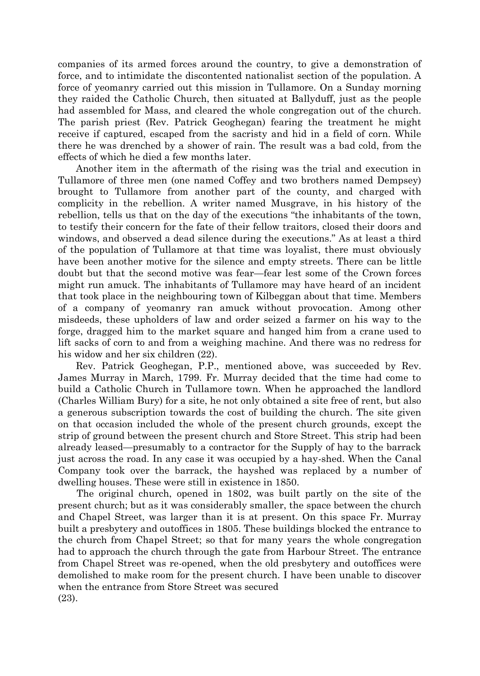companies of its armed forces around the country, to give a demonstration of force, and to intimidate the discontented nationalist section of the population. A force of yeomanry carried out this mission in Tullamore. On a Sunday morning they raided the Catholic Church, then situated at Ballyduff, just as the people had assembled for Mass, and cleared the whole congregation out of the church. The parish priest (Rev. Patrick Geoghegan) fearing the treatment he might receive if captured, escaped from the sacristy and hid in a field of corn. While there he was drenched by a shower of rain. The result was a bad cold, from the effects of which he died a few months later.

Another item in the aftermath of the rising was the trial and execution in Tullamore of three men (one named Coffey and two brothers named Dempsey) brought to Tullamore from another part of the county, and charged with complicity in the rebellion. A writer named Musgrave, in his history of the rebellion, tells us that on the day of the executions "the inhabitants of the town, to testify their concern for the fate of their fellow traitors, closed their doors and windows, and observed a dead silence during the executions." As at least a third of the population of Tullamore at that time was loyalist, there must obviously have been another motive for the silence and empty streets. There can be little doubt but that the second motive was fear—fear lest some of the Crown forces might run amuck. The inhabitants of Tullamore may have heard of an incident that took place in the neighbouring town of Kilbeggan about that time. Members of a company of yeomanry ran amuck without provocation. Among other misdeeds, these upholders of law and order seized a farmer on his way to the forge, dragged him to the market square and hanged him from a crane used to lift sacks of corn to and from a weighing machine. And there was no redress for his widow and her six children (22).

Rev. Patrick Geoghegan, P.P., mentioned above, was succeeded by Rev. James Murray in March, 1799. Fr. Murray decided that the time had come to build a Catholic Church in Tullamore town. When he approached the landlord (Charles William Bury) for a site, he not only obtained a site free of rent, but also a generous subscription towards the cost of building the church. The site given on that occasion included the whole of the present church grounds, except the strip of ground between the present church and Store Street. This strip had been already leased—presumably to a contractor for the Supply of hay to the barrack just across the road. In any case it was occupied by a hay-shed. When the Canal Company took over the barrack, the hayshed was replaced by a number of dwelling houses. These were still in existence in 1850.

The original church, opened in 1802, was built partly on the site of the present church; but as it was considerably smaller, the space between the church and Chapel Street, was larger than it is at present. On this space Fr. Murray built a presbytery and outoffices in 1805. These buildings blocked the entrance to the church from Chapel Street; so that for many years the whole congregation had to approach the church through the gate from Harbour Street. The entrance from Chapel Street was re-opened, when the old presbytery and outoffices were demolished to make room for the present church. I have been unable to discover when the entrance from Store Street was secured (23).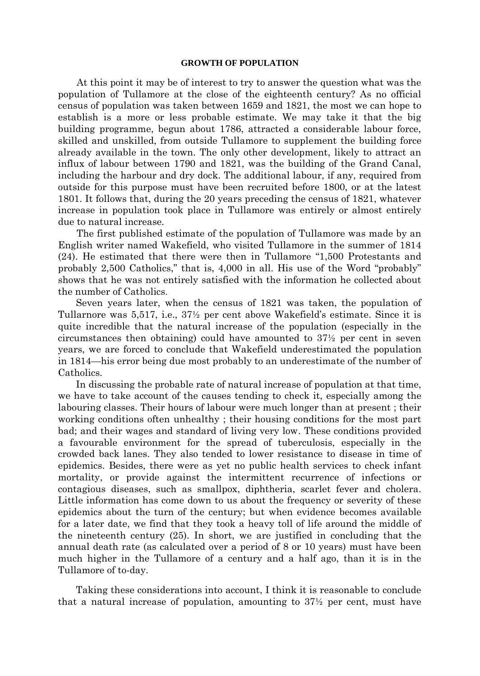#### **GROWTH OF POPULATION**

At this point it may be of interest to try to answer the question what was the population of Tullamore at the close of the eighteenth century? As no official census of population was taken between 1659 and 1821, the most we can hope to establish is a more or less probable estimate. We may take it that the big building programme, begun about 1786, attracted a considerable labour force, skilled and unskilled, from outside Tullamore to supplement the building force already available in the town. The only other development, likely to attract an influx of labour between 1790 and 1821, was the building of the Grand Canal, including the harbour and dry dock. The additional labour, if any, required from outside for this purpose must have been recruited before 1800, or at the latest 1801. It follows that, during the 20 years preceding the census of 1821, whatever increase in population took place in Tullamore was entirely or almost entirely due to natural increase.

The first published estimate of the population of Tullamore was made by an English writer named Wakefield, who visited Tullamore in the summer of 1814 (24). He estimated that there were then in Tullamore "1,500 Protestants and probably 2,500 Catholics," that is, 4,000 in all. His use of the Word "probably" shows that he was not entirely satisfied with the information he collected about the number of Catholics.

Seven years later, when the census of 1821 was taken, the population of Tullarnore was 5,517, i.e., 37½ per cent above Wakefield's estimate. Since it is quite incredible that the natural increase of the population (especially in the circumstances then obtaining) could have amounted to 37½ per cent in seven years, we are forced to conclude that Wakefield underestimated the population in 1814—his error being due most probably to an underestimate of the number of Catholics.

In discussing the probable rate of natural increase of population at that time, we have to take account of the causes tending to check it, especially among the labouring classes. Their hours of labour were much longer than at present ; their working conditions often unhealthy ; their housing conditions for the most part bad; and their wages and standard of living very low. These conditions provided a favourable environment for the spread of tuberculosis, especially in the crowded back lanes. They also tended to lower resistance to disease in time of epidemics. Besides, there were as yet no public health services to check infant mortality, or provide against the intermittent recurrence of infections or contagious diseases, such as smallpox, diphtheria, scarlet fever and cholera. Little information has come down to us about the frequency or severity of these epidemics about the turn of the century; but when evidence becomes available for a later date, we find that they took a heavy toll of life around the middle of the nineteenth century (25). In short, we are justified in concluding that the annual death rate (as calculated over a period of 8 or 10 years) must have been much higher in the Tullamore of a century and a half ago, than it is in the Tullamore of to-day.

Taking these considerations into account, I think it is reasonable to conclude that a natural increase of population, amounting to 37½ per cent, must have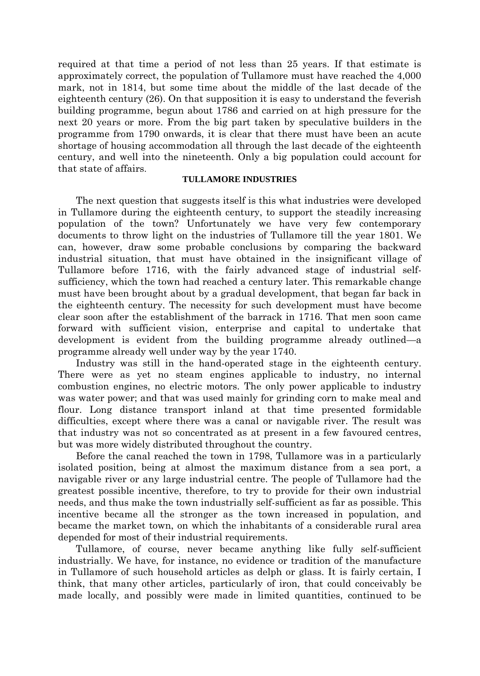required at that time a period of not less than 25 years. If that estimate is approximately correct, the population of Tullamore must have reached the 4,000 mark, not in 1814, but some time about the middle of the last decade of the eighteenth century (26). On that supposition it is easy to understand the feverish building programme, begun about 1786 and carried on at high pressure for the next 20 years or more. From the big part taken by speculative builders in the programme from 1790 onwards, it is clear that there must have been an acute shortage of housing accommodation all through the last decade of the eighteenth century, and well into the nineteenth. Only a big population could account for that state of affairs.

## **TULLAMORE INDUSTRIES**

The next question that suggests itself is this what industries were developed in Tullamore during the eighteenth century, to support the steadily increasing population of the town? Unfortunately we have very few contemporary documents to throw light on the industries of Tullamore till the year 1801. We can, however, draw some probable conclusions by comparing the backward industrial situation, that must have obtained in the insignificant village of Tullamore before 1716, with the fairly advanced stage of industrial selfsufficiency, which the town had reached a century later. This remarkable change must have been brought about by a gradual development, that began far back in the eighteenth century. The necessity for such development must have become clear soon after the establishment of the barrack in 1716. That men soon came forward with sufficient vision, enterprise and capital to undertake that development is evident from the building programme already outlined—a programme already well under way by the year 1740.

Industry was still in the hand-operated stage in the eighteenth century. There were as yet no steam engines applicable to industry, no internal combustion engines, no electric motors. The only power applicable to industry was water power; and that was used mainly for grinding corn to make meal and flour. Long distance transport inland at that time presented formidable difficulties, except where there was a canal or navigable river. The result was that industry was not so concentrated as at present in a few favoured centres, but was more widely distributed throughout the country.

Before the canal reached the town in 1798, Tullamore was in a particularly isolated position, being at almost the maximum distance from a sea port, a navigable river or any large industrial centre. The people of Tullamore had the greatest possible incentive, therefore, to try to provide for their own industrial needs, and thus make the town industrially self-sufficient as far as possible. This incentive became all the stronger as the town increased in population, and became the market town, on which the inhabitants of a considerable rural area depended for most of their industrial requirements.

Tullamore, of course, never became anything like fully self-sufficient industrially. We have, for instance, no evidence or tradition of the manufacture in Tullamore of such household articles as delph or glass. It is fairly certain, I think, that many other articles, particularly of iron, that could conceivably be made locally, and possibly were made in limited quantities, continued to be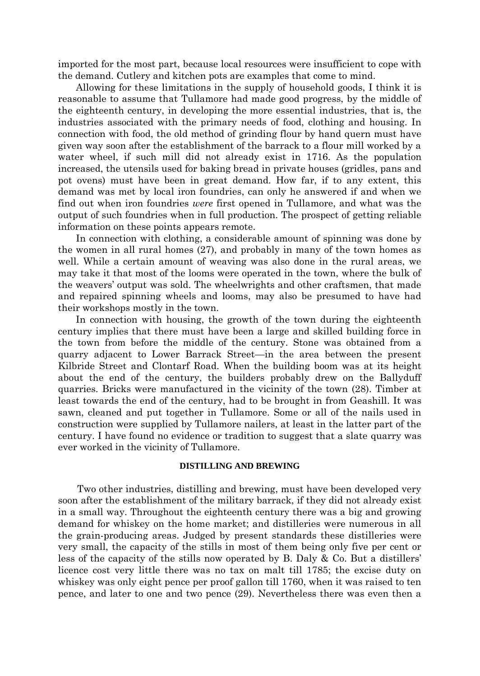imported for the most part, because local resources were insufficient to cope with the demand. Cutlery and kitchen pots are examples that come to mind.

Allowing for these limitations in the supply of household goods, I think it is reasonable to assume that Tullamore had made good progress, by the middle of the eighteenth century, in developing the more essential industries, that is, the industries associated with the primary needs of food, clothing and housing. In connection with food, the old method of grinding flour by hand quern must have given way soon after the establishment of the barrack to a flour mill worked by a water wheel, if such mill did not already exist in 1716. As the population increased, the utensils used for baking bread in private houses (gridles, pans and pot ovens) must have been in great demand. How far, if to any extent, this demand was met by local iron foundries, can only he answered if and when we find out when iron foundries *were* first opened in Tullamore, and what was the output of such foundries when in full production. The prospect of getting reliable information on these points appears remote.

In connection with clothing, a considerable amount of spinning was done by the women in all rural homes (27), and probably in many of the town homes as well. While a certain amount of weaving was also done in the rural areas, we may take it that most of the looms were operated in the town, where the bulk of the weavers' output was sold. The wheelwrights and other craftsmen, that made and repaired spinning wheels and looms, may also be presumed to have had their workshops mostly in the town.

In connection with housing, the growth of the town during the eighteenth century implies that there must have been a large and skilled building force in the town from before the middle of the century. Stone was obtained from a quarry adjacent to Lower Barrack Street—in the area between the present Kilbride Street and Clontarf Road. When the building boom was at its height about the end of the century, the builders probably drew on the Ballyduff quarries. Bricks were manufactured in the vicinity of the town (28). Timber at least towards the end of the century, had to be brought in from Geashill. It was sawn, cleaned and put together in Tullamore. Some or all of the nails used in construction were supplied by Tullamore nailers, at least in the latter part of the century. I have found no evidence or tradition to suggest that a slate quarry was ever worked in the vicinity of Tullamore.

## **DISTILLING AND BREWING**

Two other industries, distilling and brewing, must have been developed very soon after the establishment of the military barrack, if they did not already exist in a small way. Throughout the eighteenth century there was a big and growing demand for whiskey on the home market; and distilleries were numerous in all the grain-producing areas. Judged by present standards these distilleries were very small, the capacity of the stills in most of them being only five per cent or less of the capacity of the stills now operated by B. Daly & Co. But a distillers' licence cost very little there was no tax on malt till 1785; the excise duty on whiskey was only eight pence per proof gallon till 1760, when it was raised to ten pence, and later to one and two pence (29). Nevertheless there was even then a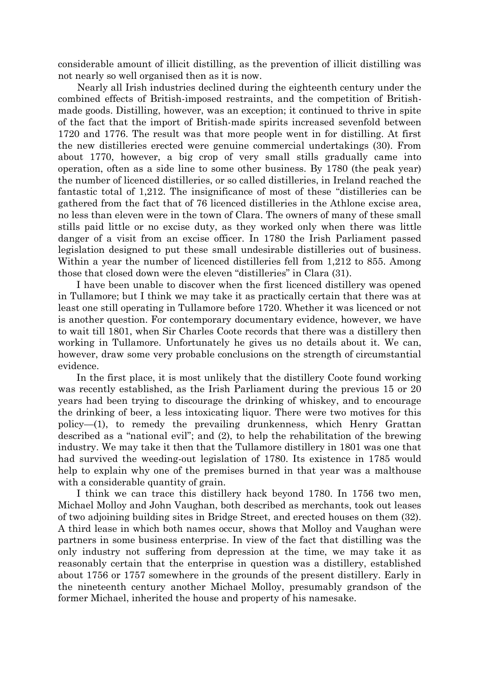considerable amount of illicit distilling, as the prevention of illicit distilling was not nearly so well organised then as it is now.

Nearly all Irish industries declined during the eighteenth century under the combined effects of British-imposed restraints, and the competition of Britishmade goods. Distilling, however, was an exception; it continued to thrive in spite of the fact that the import of British-made spirits increased sevenfold between 1720 and 1776. The result was that more people went in for distilling. At first the new distilleries erected were genuine commercial undertakings (30). From about 1770, however, a big crop of very small stills gradually came into operation, often as a side line to some other business. By 1780 (the peak year) the number of licenced distilleries, or so called distilleries, in Ireland reached the fantastic total of 1,212. The insignificance of most of these "distilleries can be gathered from the fact that of 76 licenced distilleries in the Athlone excise area, no less than eleven were in the town of Clara. The owners of many of these small stills paid little or no excise duty, as they worked only when there was little danger of a visit from an excise officer. In 1780 the Irish Parliament passed legislation designed to put these small undesirable distilleries out of business. Within a year the number of licenced distilleries fell from 1,212 to 855. Among those that closed down were the eleven "distilleries" in Clara (31).

I have been unable to discover when the first licenced distillery was opened in Tullamore; but I think we may take it as practically certain that there was at least one still operating in Tullamore before 1720. Whether it was licenced or not is another question. For contemporary documentary evidence, however, we have to wait till 1801, when Sir Charles Coote records that there was a distillery then working in Tullamore. Unfortunately he gives us no details about it. We can, however, draw some very probable conclusions on the strength of circumstantial evidence.

In the first place, it is most unlikely that the distillery Coote found working was recently established, as the Irish Parliament during the previous 15 or 20 years had been trying to discourage the drinking of whiskey, and to encourage the drinking of beer, a less intoxicating liquor. There were two motives for this policy—(1), to remedy the prevailing drunkenness, which Henry Grattan described as a "national evil"; and (2), to help the rehabilitation of the brewing industry. We may take it then that the Tullamore distillery in 1801 was one that had survived the weeding-out legislation of 1780. Its existence in 1785 would help to explain why one of the premises burned in that year was a malthouse with a considerable quantity of grain.

I think we can trace this distillery hack beyond 1780. In 1756 two men, Michael Molloy and John Vaughan, both described as merchants, took out leases of two adjoining building sites in Bridge Street, and erected houses on them (32). A third lease in which both names occur, shows that Molloy and Vaughan were partners in some business enterprise. In view of the fact that distilling was the only industry not suffering from depression at the time, we may take it as reasonably certain that the enterprise in question was a distillery, established about 1756 or 1757 somewhere in the grounds of the present distillery. Early in the nineteenth century another Michael Molloy, presumably grandson of the former Michael, inherited the house and property of his namesake.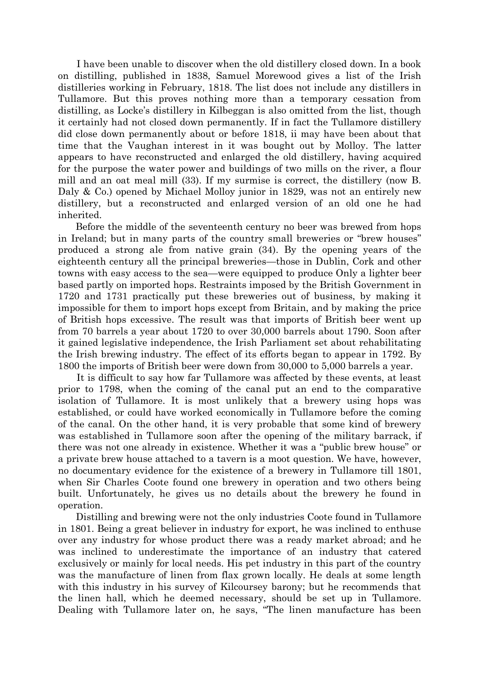I have been unable to discover when the old distillery closed down. In a book on distilling, published in 1838, Samuel Morewood gives a list of the Irish distilleries working in February, 1818. The list does not include any distillers in Tullamore. But this proves nothing more than a temporary cessation from distilling, as Locke's distillery in Kilbeggan is also omitted from the list, though it certainly had not closed down permanently. If in fact the Tullamore distillery did close down permanently about or before 1818, ii may have been about that time that the Vaughan interest in it was bought out by Molloy. The latter appears to have reconstructed and enlarged the old distillery, having acquired for the purpose the water power and buildings of two mills on the river, a flour mill and an oat meal mill (33). If my surmise is correct, the distillery (now B. Daly & Co.) opened by Michael Molloy junior in 1829, was not an entirely new distillery, but a reconstructed and enlarged version of an old one he had inherited.

Before the middle of the seventeenth century no beer was brewed from hops in Ireland; but in many parts of the country small breweries or "brew houses" produced a strong ale from native grain (34). By the opening years of the eighteenth century all the principal breweries—those in Dublin, Cork and other towns with easy access to the sea—were equipped to produce Only a lighter beer based partly on imported hops. Restraints imposed by the British Government in 1720 and 1731 practically put these breweries out of business, by making it impossible for them to import hops except from Britain, and by making the price of British hops excessive. The result was that imports of British beer went up from 70 barrels a year about 1720 to over 30,000 barrels about 1790. Soon after it gained legislative independence, the Irish Parliament set about rehabilitating the Irish brewing industry. The effect of its efforts began to appear in 1792. By 1800 the imports of British beer were down from 30,000 to 5,000 barrels a year.

It is difficult to say how far Tullamore was affected by these events, at least prior to 1798, when the coming of the canal put an end to the comparative isolation of Tullamore. It is most unlikely that a brewery using hops was established, or could have worked economically in Tullamore before the coming of the canal. On the other hand, it is very probable that some kind of brewery was established in Tullamore soon after the opening of the military barrack, if there was not one already in existence. Whether it was a "public brew house" or a private brew house attached to a tavern is a moot question. We have, however, no documentary evidence for the existence of a brewery in Tullamore till 1801, when Sir Charles Coote found one brewery in operation and two others being built. Unfortunately, he gives us no details about the brewery he found in operation.

Distilling and brewing were not the only industries Coote found in Tullamore in 1801. Being a great believer in industry for export, he was inclined to enthuse over any industry for whose product there was a ready market abroad; and he was inclined to underestimate the importance of an industry that catered exclusively or mainly for local needs. His pet industry in this part of the country was the manufacture of linen from flax grown locally. He deals at some length with this industry in his survey of Kilcoursey barony; but he recommends that the linen hall, which he deemed necessary, should be set up in Tullamore. Dealing with Tullamore later on, he says, "The linen manufacture has been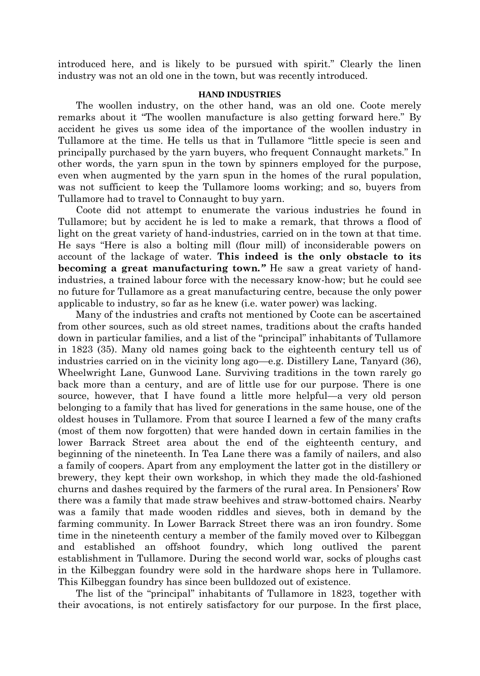introduced here, and is likely to be pursued with spirit." Clearly the linen industry was not an old one in the town, but was recently introduced.

### **HAND INDUSTRIES**

The woollen industry, on the other hand, was an old one. Coote merely remarks about it "The woollen manufacture is also getting forward here." By accident he gives us some idea of the importance of the woollen industry in Tullamore at the time. He tells us that in Tullamore "little specie is seen and principally purchased by the yarn buyers, who frequent Connaught markets." In other words, the yarn spun in the town by spinners employed for the purpose, even when augmented by the yarn spun in the homes of the rural population, was not sufficient to keep the Tullamore looms working; and so, buyers from Tullamore had to travel to Connaught to buy yarn.

Coote did not attempt to enumerate the various industries he found in Tullamore; but by accident he is led to make a remark, that throws a flood of light on the great variety of hand-industries, carried on in the town at that time. He says "Here is also a bolting mill (flour mill) of inconsiderable powers on account of the lackage of water. **This indeed is the only obstacle to its becoming a great manufacturing town***."* He saw a great variety of handindustries, a trained labour force with the necessary know-how; but he could see no future for Tullamore as a great manufacturing centre, because the only power applicable to industry, so far as he knew (i.e. water power) was lacking.

Many of the industries and crafts not mentioned by Coote can be ascertained from other sources, such as old street names, traditions about the crafts handed down in particular families, and a list of the "principal" inhabitants of Tullamore in 1823 (35). Many old names going back to the eighteenth century tell us of industries carried on in the vicinity long ago—e.g. Distillery Lane, Tanyard (36), Wheelwright Lane, Gunwood Lane. Surviving traditions in the town rarely go back more than a century, and are of little use for our purpose. There is one source, however, that I have found a little more helpful—a very old person belonging to a family that has lived for generations in the same house, one of the oldest houses in Tullamore. From that source I learned a few of the many crafts (most of them now forgotten) that were handed down in certain families in the lower Barrack Street area about the end of the eighteenth century, and beginning of the nineteenth. In Tea Lane there was a family of nailers, and also a family of coopers. Apart from any employment the latter got in the distillery or brewery, they kept their own workshop, in which they made the old-fashioned churns and dashes required by the farmers of the rural area. In Pensioners' Row there was a family that made straw beehives and straw-bottomed chairs. Nearby was a family that made wooden riddles and sieves, both in demand by the farming community. In Lower Barrack Street there was an iron foundry. Some time in the nineteenth century a member of the family moved over to Kilbeggan and established an offshoot foundry, which long outlived the parent establishment in Tullamore. During the second world war, socks of ploughs cast in the Kilbeggan foundry were sold in the hardware shops here in Tullamore. This Kilbeggan foundry has since been bulldozed out of existence.

The list of the "principal" inhabitants of Tullamore in 1823, together with their avocations, is not entirely satisfactory for our purpose. In the first place,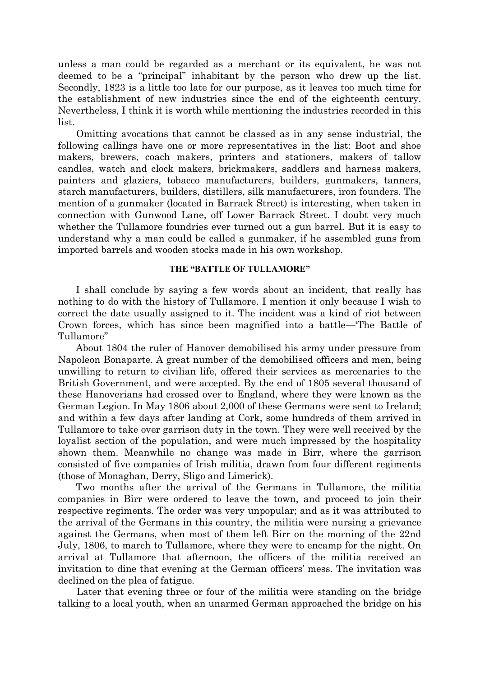unless a man could be regarded as a merchant or its equivalent, he was not deemed to be a "principal" inhabitant by the person who drew up the list. Secondly, 1823 is a little too late for our purpose, as it leaves too much time for the establishment of new industries since the end of the eighteenth century. Nevertheless, I think it is worth while mentioning the industries recorded in this list.

Omitting avocations that cannot be classed as in any sense industrial, the following callings have one or more representatives in the list: Boot and shoe makers, brewers, coach makers, printers and stationers, makers of tallow candles, watch and clock makers, brickmakers, saddlers and harness makers, painters and glaziers, tobacco manufacturers, builders, gunmakers, tanners, starch manufacturers, builders, distillers, silk manufacturers, iron founders. The mention of a gunmaker (located in Barrack Street) is interesting, when taken in connection with Gunwood Lane, off Lower Barrack Street. I doubt very much whether the Tullamore foundries ever turned out a gun barrel. But it is easy to understand why a man could be called a gunmaker, if he assembled guns from imported barrels and wooden stocks made in his own workshop.

## **THE "BATTLE OF TULLAMORE"**

I shall conclude by saying a few words about an incident, that really has nothing to do with the history of Tullamore. I mention it only because I wish to correct the date usually assigned to it. The incident was a kind of riot between Crown forces, which has since been magnified into a battle—'The Battle of Tullamore"

About 1804 the ruler of Hanover demobilised his army under pressure from Napoleon Bonaparte. A great number of the demobilised officers and men, being unwilling to return to civilian life, offered their services as mercenaries to the British Government, and were accepted. By the end of 1805 several thousand of these Hanoverians had crossed over to England, where they were known as the German Legion. In May 1806 about 2,000 of these Germans were sent to Ireland; and within a few days after landing at Cork, some hundreds of them arrived in Tullamore to take over garrison duty in the town. They were well received by the loyalist section of the population, and were much impressed by the hospitality shown them. Meanwhile no change was made in Birr, where the garrison consisted of five companies of Irish militia, drawn from four different regiments (those of Monaghan, Derry, Sligo and Limerick).

Two months after the arrival of the Germans in Tullamore, the militia companies in Birr were ordered to leave the town, and proceed to join their respective regiments. The order was very unpopular; and as it was attributed to the arrival of the Germans in this country, the militia were nursing a grievance against the Germans, when most of them left Birr on the morning of the 22nd July, 1806, to march to Tullamore, where they were to encamp for the night. On arrival at Tullamore that afternoon, the officers of the militia received an invitation to dine that evening at the German officers' mess. The invitation was declined on the plea of fatigue.

Later that evening three or four of the militia were standing on the bridge talking to a local youth, when an unarmed German approached the bridge on his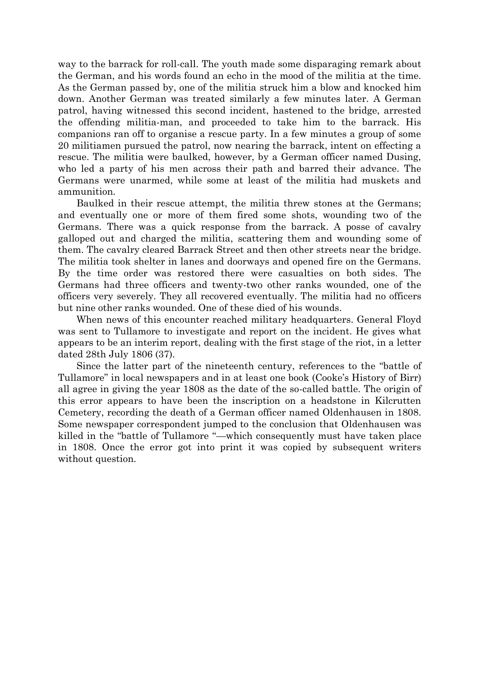way to the barrack for roll-call. The youth made some disparaging remark about the German, and his words found an echo in the mood of the militia at the time. As the German passed by, one of the militia struck him a blow and knocked him down. Another German was treated similarly a few minutes later. A German patrol, having witnessed this second incident, hastened to the bridge, arrested the offending militia-man, and proceeded to take him to the barrack. His companions ran off to organise a rescue party. In a few minutes a group of some 20 militiamen pursued the patrol, now nearing the barrack, intent on effecting a rescue. The militia were baulked, however, by a German officer named Dusing, who led a party of his men across their path and barred their advance. The Germans were unarmed, while some at least of the militia had muskets and ammunition.

Baulked in their rescue attempt, the militia threw stones at the Germans; and eventually one or more of them fired some shots, wounding two of the Germans. There was a quick response from the barrack. A posse of cavalry galloped out and charged the militia, scattering them and wounding some of them. The cavalry cleared Barrack Street and then other streets near the bridge. The militia took shelter in lanes and doorways and opened fire on the Germans. By the time order was restored there were casualties on both sides. The Germans had three officers and twenty-two other ranks wounded, one of the officers very severely. They all recovered eventually. The militia had no officers but nine other ranks wounded. One of these died of his wounds.

When news of this encounter reached military headquarters. General Floyd was sent to Tullamore to investigate and report on the incident. He gives what appears to be an interim report, dealing with the first stage of the riot, in a letter dated 28th July 1806 (37).

Since the latter part of the nineteenth century, references to the "battle of Tullamore" in local newspapers and in at least one book (Cooke's History of Birr) all agree in giving the year 1808 as the date of the so-called battle. The origin of this error appears to have been the inscription on a headstone in Kilcrutten Cemetery, recording the death of a German officer named Oldenhausen in 1808. Some newspaper correspondent jumped to the conclusion that Oldenhausen was killed in the "battle of Tullamore "—which consequently must have taken place in 1808. Once the error got into print it was copied by subsequent writers without question.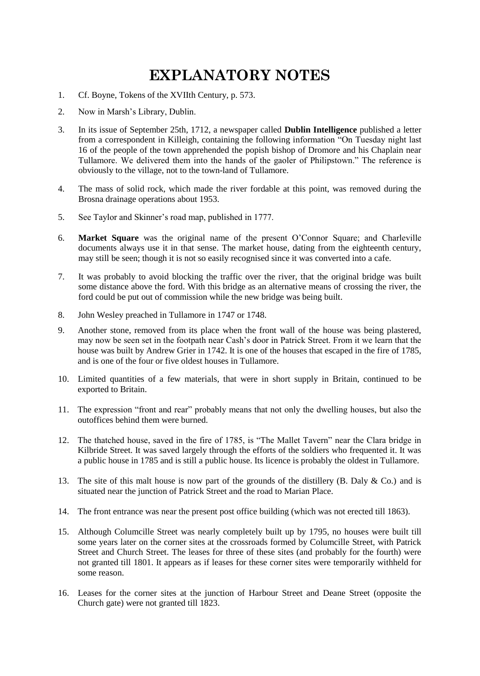## **EXPLANATORY NOTES**

- 1. Cf. Boyne, Tokens of the XVIIth Century, p. 573.
- 2. Now in Marsh's Library, Dublin.
- 3. In its issue of September 25th, 1712, a newspaper called **Dublin Intelligence** published a letter from a correspondent in Killeigh, containing the following information "On Tuesday night last 16 of the people of the town apprehended the popish bishop of Dromore and his Chaplain near Tullamore. We delivered them into the hands of the gaoler of Philipstown." The reference is obviously to the village, not to the town-land of Tullamore.
- 4. The mass of solid rock, which made the river fordable at this point, was removed during the Brosna drainage operations about 1953.
- 5. See Taylor and Skinner's road map, published in 1777.
- 6. **Market Square** was the original name of the present O'Connor Square; and Charleville documents always use it in that sense. The market house, dating from the eighteenth century, may still be seen; though it is not so easily recognised since it was converted into a cafe.
- 7. It was probably to avoid blocking the traffic over the river, that the original bridge was built some distance above the ford. With this bridge as an alternative means of crossing the river, the ford could be put out of commission while the new bridge was being built.
- 8. John Wesley preached in Tullamore in 1747 or 1748.
- 9. Another stone, removed from its place when the front wall of the house was being plastered, may now be seen set in the footpath near Cash's door in Patrick Street. From it we learn that the house was built by Andrew Grier in 1742. It is one of the houses that escaped in the fire of 1785, and is one of the four or five oldest houses in Tullamore.
- 10. Limited quantities of a few materials, that were in short supply in Britain, continued to be exported to Britain.
- 11. The expression "front and rear" probably means that not only the dwelling houses, but also the outoffices behind them were burned.
- 12. The thatched house, saved in the fire of 1785, is "The Mallet Tavern" near the Clara bridge in Kilbride Street. It was saved largely through the efforts of the soldiers who frequented it. It was a public house in 1785 and is still a public house. Its licence is probably the oldest in Tullamore.
- 13. The site of this malt house is now part of the grounds of the distillery (B. Daly & Co.) and is situated near the junction of Patrick Street and the road to Marian Place.
- 14. The front entrance was near the present post office building (which was not erected till 1863).
- 15. Although Columcille Street was nearly completely built up by 1795, no houses were built till some years later on the corner sites at the crossroads formed by Columcille Street, with Patrick Street and Church Street. The leases for three of these sites (and probably for the fourth) were not granted till 1801. It appears as if leases for these corner sites were temporarily withheld for some reason.
- 16. Leases for the corner sites at the junction of Harbour Street and Deane Street (opposite the Church gate) were not granted till 1823.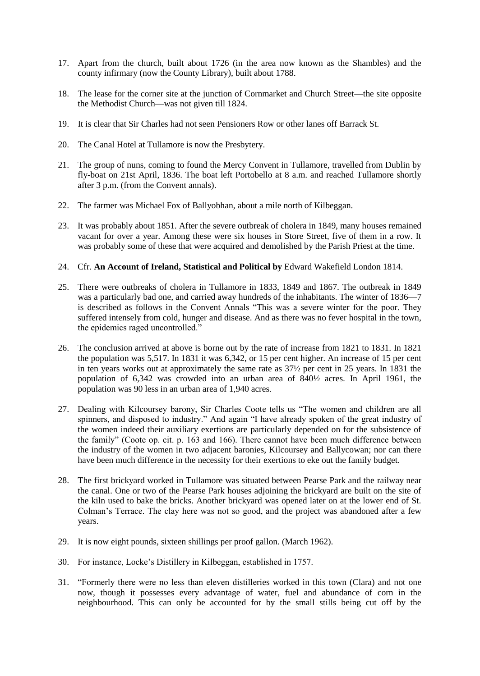- 17. Apart from the church, built about 1726 (in the area now known as the Shambles) and the county infirmary (now the County Library), built about 1788.
- 18. The lease for the corner site at the junction of Cornmarket and Church Street—the site opposite the Methodist Church—was not given till 1824.
- 19. It is clear that Sir Charles had not seen Pensioners Row or other lanes off Barrack St.
- 20. The Canal Hotel at Tullamore is now the Presbytery.
- 21. The group of nuns, coming to found the Mercy Convent in Tullamore, travelled from Dublin by fly-boat on 21st April, 1836. The boat left Portobello at 8 a.m. and reached Tullamore shortly after 3 p.m. (from the Convent annals).
- 22. The farmer was Michael Fox of Ballyobhan, about a mile north of Kilbeggan.
- 23. It was probably about 1851. After the severe outbreak of cholera in 1849, many houses remained vacant for over a year. Among these were six houses in Store Street, five of them in a row. It was probably some of these that were acquired and demolished by the Parish Priest at the time.
- 24. Cfr. **An Account of Ireland, Statistical and Political by** Edward Wakefield London 1814.
- 25. There were outbreaks of cholera in Tullamore in 1833, 1849 and 1867. The outbreak in 1849 was a particularly bad one, and carried away hundreds of the inhabitants. The winter of 1836—7 is described as follows in the Convent Annals "This was a severe winter for the poor. They suffered intensely from cold, hunger and disease. And as there was no fever hospital in the town, the epidemics raged uncontrolled."
- 26. The conclusion arrived at above is borne out by the rate of increase from 1821 to 1831. In 1821 the population was 5,517. In 1831 it was 6,342, or 15 per cent higher. An increase of 15 per cent in ten years works out at approximately the same rate as 37½ per cent in 25 years. In 1831 the population of 6,342 was crowded into an urban area of 840½ acres. In April 1961, the population was 90 less in an urban area of 1,940 acres.
- 27. Dealing with Kilcoursey barony, Sir Charles Coote tells us "The women and children are all spinners, and disposed to industry." And again "I have already spoken of the great industry of the women indeed their auxiliary exertions are particularly depended on for the subsistence of the family" (Coote op. cit. p. 163 and 166). There cannot have been much difference between the industry of the women in two adjacent baronies, Kilcoursey and Ballycowan; nor can there have been much difference in the necessity for their exertions to eke out the family budget.
- 28. The first brickyard worked in Tullamore was situated between Pearse Park and the railway near the canal. One or two of the Pearse Park houses adjoining the brickyard are built on the site of the kiln used to bake the bricks. Another brickyard was opened later on at the lower end of St. Colman's Terrace. The clay here was not so good, and the project was abandoned after a few years.
- 29. It is now eight pounds, sixteen shillings per proof gallon. (March 1962).
- 30. For instance, Locke's Distillery in Kilbeggan, established in 1757.
- 31. "Formerly there were no less than eleven distilleries worked in this town (Clara) and not one now, though it possesses every advantage of water, fuel and abundance of corn in the neighbourhood. This can only be accounted for by the small stills being cut off by the